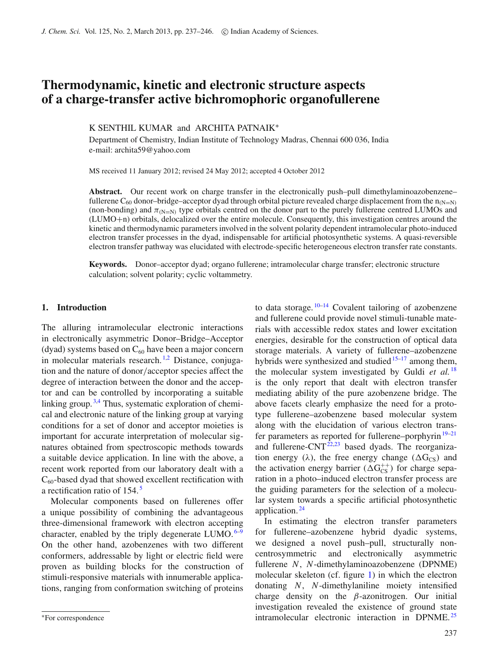# **Thermodynamic, kinetic and electronic structure aspects of a charge-transfer active bichromophoric organofullerene**

## K SENTHIL KUMAR and ARCHITA PATNAIK<sup>∗</sup>

Department of Chemistry, Indian Institute of Technology Madras, Chennai 600 036, India e-mail: archita59@yahoo.com

MS received 11 January 2012; revised 24 May 2012; accepted 4 October 2012

Abstract. Our recent work on charge transfer in the electronically push-pull dimethylaminoazobenzene– fullerene C<sub>60</sub> donor–bridge–acceptor dyad through orbital picture revealed charge displacement from the  $n_{(N=N)}$ (non-bonding) and  $\pi_{N=N}$  type orbitals centred on the donor part to the purely fullerene centred LUMOs and (LUMO+n) orbitals, delocalized over the entire molecule. Consequently, this investigation centres around the kinetic and thermodynamic parameters involved in the solvent polarity dependent intramolecular photo-induced electron transfer processes in the dyad, indispensable for artificial photosynthetic systems. A quasi-reversible electron transfer pathway was elucidated with electrode-specific heterogeneous electron transfer rate constants.

**Keywords.** Donor–acceptor dyad; organo fullerene; intramolecular charge transfer; electronic structure calculation; solvent polarity; cyclic voltammetry.

### **1. Introduction**

The alluring intramolecular electronic interactions in electronically asymmetric Donor–Bridge–Acceptor (dyad) systems based on  $C_{60}$  have been a major concern in molecular materials research.<sup>[1](#page-8-0)[,2](#page-8-1)</sup> Distance, conjugation and the nature of donor/acceptor species affect the degree of interaction between the donor and the acceptor and can be controlled by incorporating a suitable linking group.<sup>[3](#page-8-2)[,4](#page-8-3)</sup> Thus, systematic exploration of chemical and electronic nature of the linking group at varying conditions for a set of donor and acceptor moieties is important for accurate interpretation of molecular signatures obtained from spectroscopic methods towards a suitable device application. In line with the above, a recent work reported from our laboratory dealt with a  $C_{60}$ -based dyad that showed excellent rectification with a rectification ratio of 154. [5](#page-8-4)

Molecular components based on fullerenes offer a unique possibility of combining the advantageous three-dimensional framework with electron accepting character, enabled by the triply degenerate LUMO.  $6-9$  $6-9$ On the other hand, azobenzenes with two different conformers, addressable by light or electric field were proven as building blocks for the construction of stimuli-responsive materials with innumerable applications, ranging from conformation switching of proteins to data storage.  $10-14$  $10-14$  Covalent tailoring of azobenzene and fullerene could provide novel stimuli-tunable materials with accessible redox states and lower excitation energies, desirable for the construction of optical data storage materials. A variety of fullerene–azobenzene hybrids were synthesized and studied $15-17$  among them, the molecular system investigated by Guldi *et al.* [18](#page-8-11) is the only report that dealt with electron transfer mediating ability of the pure azobenzene bridge. The above facets clearly emphasize the need for a prototype fullerene–azobenzene based molecular system along with the elucidation of various electron transfer parameters as reported for fullerene–porphyrin $19-21$  $19-21$ and fullerene-CNT $^{22,23}$  $^{22,23}$  $^{22,23}$  $^{22,23}$  based dyads. The reorganization energy ( $\lambda$ ), the free energy change ( $\Delta G_{CS}$ ) and the activation energy barrier ( $\Delta G_{CS}^{++}$ ) for charge separation in a photo–induced electron transfer process are the guiding parameters for the selection of a molecular system towards a specific artificial photosynthetic application.<sup>[24](#page-8-16)</sup>

In estimating the electron transfer parameters for fullerene–azobenzene hybrid dyadic systems, we designed a novel push–pull, structurally noncentrosymmetric and electronically asymmetric fullerene *N*, *N*-dimethylaminoazobenzene (DPNME) molecular skeleton (cf. figure [1\)](#page-1-0) in which the electron donating *N*, *N*-dimethylaniline moiety intensified charge density on the  $\beta$ -azonitrogen. Our initial investigation revealed the existence of ground state intramolecular electronic interaction in DPNME. [25](#page-8-17)

<sup>∗</sup>For correspondence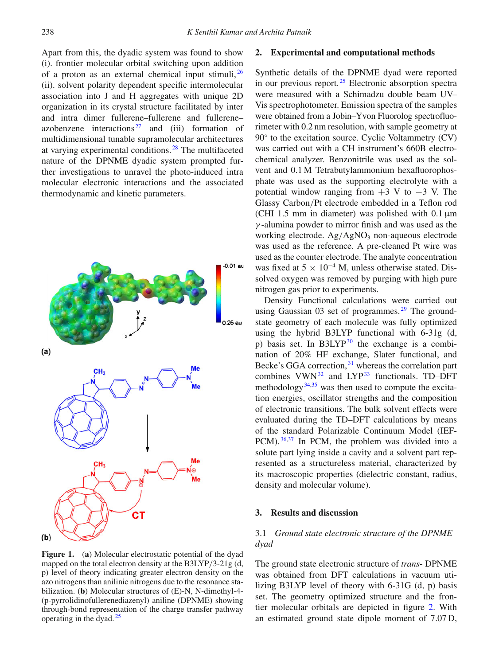Apart from this, the dyadic system was found to show (i). frontier molecular orbital switching upon addition of a proton as an external chemical input stimuli,  $^{26}$  $^{26}$  $^{26}$ (ii). solvent polarity dependent specific intermolecular association into J and H aggregates with unique 2D organization in its crystal structure facilitated by inter and intra dimer fullerene–fullerene and fullerene– azobenzene interactions<sup>[27](#page-9-0)</sup> and (iii) formation of multidimensional tunable supramolecular architectures at varying experimental conditions. [28](#page-9-1) The multifaceted nature of the DPNME dyadic system prompted further investigations to unravel the photo-induced intra molecular electronic interactions and the associated thermodynamic and kinetic parameters.

<span id="page-1-0"></span>

**Figure 1.** (**a**) Molecular electrostatic potential of the dyad mapped on the total electron density at the B3LYP/3-21g (d, p) level of theory indicating greater electron density on the azo nitrogens than anilinic nitrogens due to the resonance stabilization. (**b**) Molecular structures of (E)-N, N-dimethyl-4- (p-pyrrolidinofullerenediazenyl) aniline (DPNME) showing through-bond representation of the charge transfer pathway operating in the dyad. $25$ 

### **2. Experimental and computational methods**

Synthetic details of the DPNME dyad were reported in our previous report. $25$  Electronic absorption spectra were measured with a Schimadzu double beam UV– Vis spectrophotometer. Emission spectra of the samples were obtained from a Jobin–Yvon Fluorolog spectrofluorimeter with 0.2 nm resolution, with sample geometry at 90<sup>°</sup> to the excitation source. Cyclic Voltammetry (CV) was carried out with a CH instrument's 660B electrochemical analyzer. Benzonitrile was used as the solvent and 0.1 M Tetrabutylammonium hexafluorophosphate was used as the supporting electrolyte with a potential window ranging from  $+3$  V to  $-3$  V. The Glassy Carbon/Pt electrode embedded in a Teflon rod (CHI 1.5 mm in diameter) was polished with 0.1 μm  $\gamma$ -alumina powder to mirror finish and was used as the working electrode.  $Ag/AgNO<sub>3</sub>$  non-aqueous electrode was used as the reference. A pre-cleaned Pt wire was used as the counter electrode. The analyte concentration was fixed at  $5 \times 10^{-4}$  M, unless otherwise stated. Dissolved oxygen was removed by purging with high pure nitrogen gas prior to experiments.

Density Functional calculations were carried out using Gaussian  $03$  set of programmes.<sup>[29](#page-9-2)</sup> The groundstate geometry of each molecule was fully optimized using the hybrid B3LYP functional with 6-31g (d, p) basis set. In  $B3LYP<sup>30</sup>$  the exchange is a combination of 20% HF exchange, Slater functional, and Becke's GGA correction, <sup>[31](#page-9-4)</sup> whereas the correlation part combines  $VWN^{32}$  and  $LYP^{33}$  $LYP^{33}$  $LYP^{33}$  functionals. TD–DFT methodology $34,35$  $34,35$  was then used to compute the excitation energies, oscillator strengths and the composition of electronic transitions. The bulk solvent effects were evaluated during the TD–DFT calculations by means of the standard Polarizable Continuum Model (IEF-PCM).  $36,37$  $36,37$  In PCM, the problem was divided into a solute part lying inside a cavity and a solvent part represented as a structureless material, characterized by its macroscopic properties (dielectric constant, radius, density and molecular volume).

## **3. Results and discussion**

## 3.1 *Ground state electronic structure of the DPNME dyad*

The ground state electronic structure of *trans*- DPNME was obtained from DFT calculations in vacuum utilizing B3LYP level of theory with 6-31G (d, p) basis set. The geometry optimized structure and the frontier molecular orbitals are depicted in figure [2.](#page-2-0) With an estimated ground state dipole moment of 7.07 D,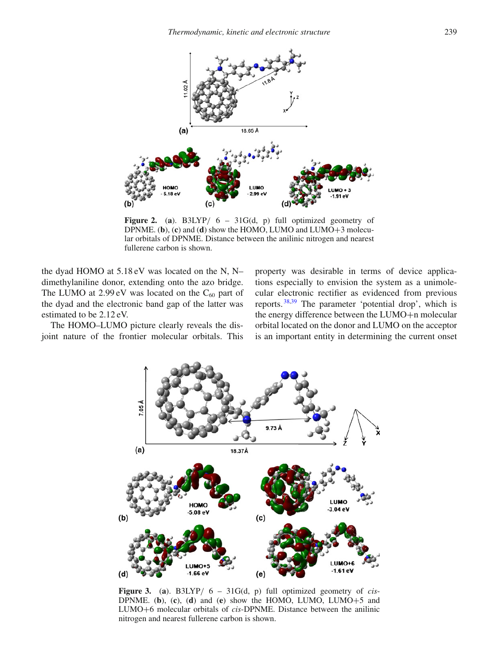<span id="page-2-0"></span>

**Figure 2.** (**a**). B3LYP/ 6 – 31G(d, p) full optimized geometry of DPNME. (**b**), (**c**) and (**d**) show the HOMO, LUMO and LUMO+3 molecular orbitals of DPNME. Distance between the anilinic nitrogen and nearest fullerene carbon is shown.

the dyad HOMO at 5.18 eV was located on the N, N– dimethylaniline donor, extending onto the azo bridge. The LUMO at  $2.99 \text{ eV}$  was located on the C<sub>60</sub> part of the dyad and the electronic band gap of the latter was estimated to be 2.12 eV.

<span id="page-2-1"></span>The HOMO–LUMO picture clearly reveals the disjoint nature of the frontier molecular orbitals. This property was desirable in terms of device applications especially to envision the system as a unimolecular electronic rectifier as evidenced from previous reports. [38](#page-9-11)[,39](#page-9-12) The parameter 'potential drop', which is the energy difference between the LUMO+n molecular orbital located on the donor and LUMO on the acceptor is an important entity in determining the current onset



**Figure 3.** (**a**). B3LYP/ 6 – 31G(d, p) full optimized geometry of *cis*-DPNME. (**b**), (**c**), (**d**) and (**e**) show the HOMO, LUMO, LUMO $+5$  and LUMO+6 molecular orbitals of *cis*-DPNME. Distance between the anilinic nitrogen and nearest fullerene carbon is shown.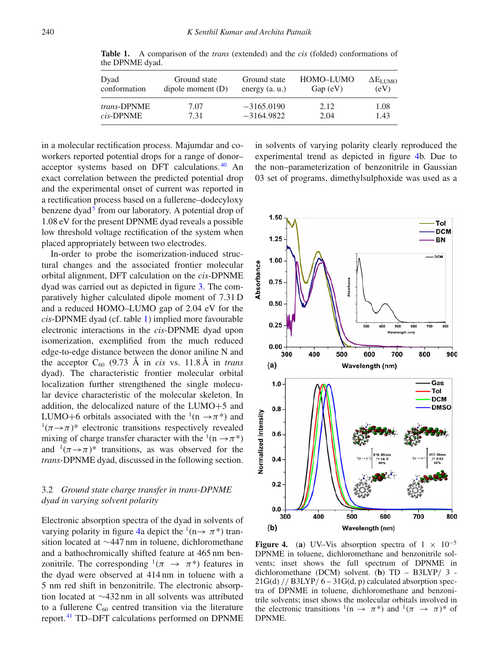| Dyad               | Ground state        | Ground state    | HOMO-LUMO | $\Delta E_{LUMO}$ |
|--------------------|---------------------|-----------------|-----------|-------------------|
| conformation       | dipole moment $(D)$ | energy $(a, u)$ | Gap (eV)  | (eV)              |
| <i>trans-DPNME</i> | 7.07                | $-3165.0190$    | 2.12      | 1.08              |
| cis-DPNME          | 7.31                | $-3164.9822$    | 2.04      | 1.43              |

<span id="page-3-0"></span>**Table 1.** A comparison of the *trans* (extended) and the *cis* (folded) conformations of the DPNME dyad.

in a molecular rectification process. Majumdar and coworkers reported potential drops for a range of donor– acceptor systems based on DFT calculations. [40](#page-9-13) An exact correlation between the predicted potential drop and the experimental onset of current was reported in a rectification process based on a fullerene–dodecyloxy benzene dyad<sup>5</sup> from our laboratory. A potential drop of 1.08 eV for the present DPNME dyad reveals a possible low threshold voltage rectification of the system when placed appropriately between two electrodes.

In-order to probe the isomerization-induced structural changes and the associated frontier molecular orbital alignment, DFT calculation on the *cis*-DPNME dyad was carried out as depicted in figure [3.](#page-2-1) The comparatively higher calculated dipole moment of 7.31 D and a reduced HOMO–LUMO gap of 2.04 eV for the *cis*-DPNME dyad (cf. table [1\)](#page-3-0) implied more favourable electronic interactions in the *cis*-DPNME dyad upon isomerization, exemplified from the much reduced edge-to-edge distance between the donor aniline N and the acceptor  $C_{60}$  (9.73 Å in *cis* vs. 11.8 Å in *trans* dyad). The characteristic frontier molecular orbital localization further strengthened the single molecular device characteristic of the molecular skeleton. In addition, the delocalized nature of the LUMO+5 and LUMO+6 orbitals associated with the  $(1(n \rightarrow \pi^*))$  and  $(1/\pi \rightarrow \pi)^*$  electronic transitions respectively revealed mixing of charge transfer character with the <sup>1</sup>(n  $\rightarrow \pi^*$ ) and  $(1/\pi \rightarrow \pi)^*$  transitions, as was observed for the *trans*-DPNME dyad, discussed in the following section.

# 3.2 *Ground state charge transfer in trans-DPNME dyad in varying solvent polarity*

Electronic absorption spectra of the dyad in solvents of varying polarity in figure [4a](#page-3-1) depict the  $(1 \rightarrow \pi^*)$  transition located at ∼447 nm in toluene, dichloromethane and a bathochromically shifted feature at 465 nm benzonitrile. The corresponding  $(\pi \rightarrow \pi^*)$  features in the dyad were observed at 414 nm in toluene with a 5 nm red shift in benzonitrile. The electronic absorption located at ∼432 nm in all solvents was attributed to a fullerene  $C_{60}$  centred transition via the literature report. [41](#page-9-14) TD–DFT calculations performed on DPNME

in solvents of varying polarity clearly reproduced the experimental trend as depicted in figure [4b](#page-3-1). Due to the non–parameterization of benzonitrile in Gaussian 03 set of programs, dimethylsulphoxide was used as a

<span id="page-3-1"></span>

**Figure 4.** (a) UV–Vis absorption spectra of  $1 \times 10^{-5}$ DPNME in toluene, dichloromethane and benzonitrile solvents; inset shows the full spectrum of DPNME in dichloromethane (DCM) solvent. (**b**) TD – B3LYP/ 3 -  $21G(d)$  // B3LYP/  $6-31G(d, p)$  calculated absorption spectra of DPNME in toluene, dichloromethane and benzonitrile solvents; inset shows the molecular orbitals involved in the electronic transitions  $^1(n \to \pi^*)$  and  $^1(\pi \to \pi)^*$  of DPNME.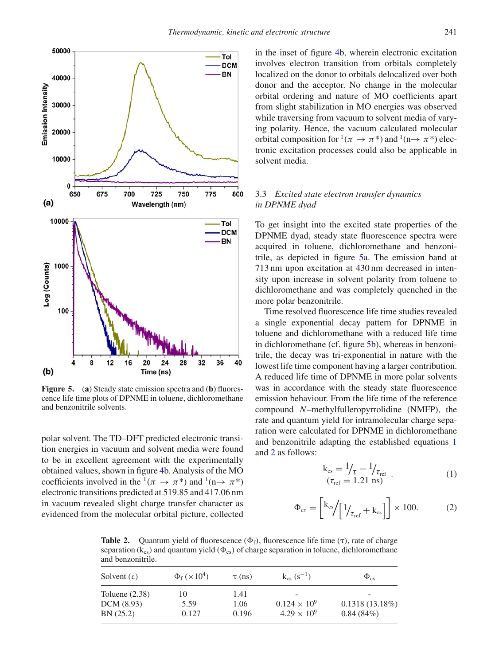<span id="page-4-0"></span>

**Figure 5.** (**a**) Steady state emission spectra and (**b**) fluorescence life time plots of DPNME in toluene, dichloromethane and benzonitrile solvents.

polar solvent. The TD–DFT predicted electronic transition energies in vacuum and solvent media were found to be in excellent agreement with the experimentally obtained values, shown in figure [4b](#page-3-1). Analysis of the MO coefficients involved in the  $(1(\pi \rightarrow \pi^*))$  and  $(1(\pi \rightarrow \pi^*))$ electronic transitions predicted at 519.85 and 417.06 nm in vacuum revealed slight charge transfer character as evidenced from the molecular orbital picture, collected in the inset of figure [4b](#page-3-1), wherein electronic excitation involves electron transition from orbitals completely localized on the donor to orbitals delocalized over both donor and the acceptor. No change in the molecular orbital ordering and nature of MO coefficients apart from slight stabilization in MO energies was observed while traversing from vacuum to solvent media of varying polarity. Hence, the vacuum calculated molecular orbital composition for  $(\pi \to \pi^*)$  and  $(0 \to \pi^*)$  electronic excitation processes could also be applicable in solvent media.

## 3.3 *Excited state electron transfer dynamics in DPNME dyad*

To get insight into the excited state properties of the DPNME dyad, steady state fluorescence spectra were acquired in toluene, dichloromethane and benzonitrile, as depicted in figure [5a](#page-4-0). The emission band at 713 nm upon excitation at 430 nm decreased in intensity upon increase in solvent polarity from toluene to dichloromethane and was completely quenched in the more polar benzonitrile.

Time resolved fluorescence life time studies revealed a single exponential decay pattern for DPNME in toluene and dichloromethane with a reduced life time in dichloromethane (cf. figure [5b](#page-4-0)), whereas in benzonitrile, the decay was tri-exponential in nature with the lowest life time component having a larger contribution. A reduced life time of DPNME in more polar solvents was in accordance with the steady state fluorescence emission behaviour. From the life time of the reference compound *N*–methylfulleropyrrolidine (NMFP), the rate and quantum yield for intramolecular charge separation were calculated for DPNME in dichloromethane and benzonitrile adapting the established equations [1](#page-4-1) and [2](#page-4-2) as follows:

<span id="page-4-1"></span>
$$
k_{cs} = \frac{1}{\tau} - \frac{1}{\tau_{ref}} \tag{1}
$$
  
( $\tau_{ref} = 1.21 \text{ ns}$ )

<span id="page-4-2"></span>
$$
\Phi_{cs} = \left[ k_{cs} / \left[ 1 / \tau_{ref} + k_{cs} \right] \right] \times 100. \tag{2}
$$

<span id="page-4-3"></span>**Table 2.** Quantum yield of fluorescence  $(\Phi_f)$ , fluorescence life time  $(\tau)$ , rate of charge separation ( $k_{cs}$ ) and quantum yield ( $\Phi_{cs}$ ) of charge separation in toluene, dichloromethane and benzonitrile.

| Solvent $(\varepsilon)$        | $\Phi_{\rm f}$ ( $\times 10^4$ ) | $\tau$ (ns)  | $k_{cs}$ (s <sup>-1</sup> ) | $\Phi_{cs}$       |
|--------------------------------|----------------------------------|--------------|-----------------------------|-------------------|
| Toluene $(2.38)$<br>DCM (8.93) | 10<br>5.59                       | 1.41<br>1.06 | -<br>$0.124 \times 10^{9}$  | $0.1318(13.18\%)$ |
| BN (25.2)                      | 0.127                            | 0.196        | $4.29 \times 10^{9}$        | 0.84(84%)         |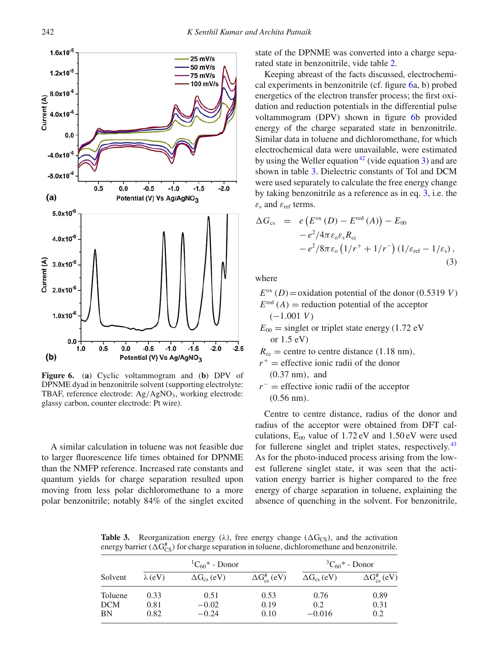<span id="page-5-0"></span>

**Figure 6.** (**a**) Cyclic voltammogram and (**b**) DPV of DPNME dyad in benzonitrile solvent (supporting electrolyte: TBAF, reference electrode:  $Ag/AgNO<sub>3</sub>$ , working electrode: glassy carbon, counter electrode: Pt wire).

A similar calculation in toluene was not feasible due to larger fluorescence life times obtained for DPNME than the NMFP reference. Increased rate constants and quantum yields for charge separation resulted upon moving from less polar dichloromethane to a more polar benzonitrile; notably 84% of the singlet excited state of the DPNME was converted into a charge separated state in benzonitrile, vide table [2.](#page-4-3)

Keeping abreast of the facts discussed, electrochemical experiments in benzonitrile (cf. figure [6a](#page-5-0), b) probed energetics of the electron transfer process; the first oxidation and reduction potentials in the differential pulse voltammogram (DPV) shown in figure [6b](#page-5-0) provided energy of the charge separated state in benzonitrile. Similar data in toluene and dichloromethane, for which electrochemical data were unavailable, were estimated by using the Weller equation<sup>[42](#page-9-15)</sup> (vide equation [3\)](#page-5-1) and are shown in table [3.](#page-5-2) Dielectric constants of Tol and DCM were used separately to calculate the free energy change by taking benzonitrile as a reference as in eq. [3,](#page-5-1) i.e. the  $\varepsilon$ <sub>s</sub> and  $\varepsilon$ <sub>ref</sub> terms.

<span id="page-5-1"></span>
$$
\Delta G_{\rm cs} = e \left( E^{\rm ox} \left( D \right) - E^{\rm red} \left( A \right) \right) - E_{00}
$$
  
- e<sup>2</sup>/4\pi \varepsilon<sub>o</sub> \varepsilon<sub>s</sub> R<sub>cc</sub>  
- e<sup>2</sup>/8\pi \varepsilon<sub>o</sub> \left( 1/r^{+} + 1/r^{-} \right) \left( 1/\varepsilon\_{\rm ref} - 1/\varepsilon\_{\rm s} \right), (3)

where

 $E<sup>ox</sup>(D) =$ oxidation potential of the donor (0.5319 *V*)

 $E^{\text{red}}(A)$  = reduction potential of the acceptor (−1.001 *V*)

 $E_{00}$  = singlet or triplet state energy (1.72 eV or 1.5 eV)

 $R_{cc}$  = centre to centre distance (1.18 nm),

- $r^+$  = effective ionic radii of the donor (0.37 nm), and
- *r*<sup>−</sup> = effective ionic radii of the acceptor (0.56 nm).

Centre to centre distance, radius of the donor and radius of the acceptor were obtained from DFT calculations,  $E_{00}$  value of 1.72 eV and 1.50 eV were used for fullerene singlet and triplet states, respectively.<sup>[43](#page-9-16)</sup> As for the photo-induced process arising from the lowest fullerene singlet state, it was seen that the activation energy barrier is higher compared to the free energy of charge separation in toluene, explaining the absence of quenching in the solvent. For benzonitrile,

<span id="page-5-2"></span>**Table 3.** Reorganization energy ( $\lambda$ ), free energy change ( $\Delta G_{CS}$ ), and the activation energy barrier ( $\Delta G_{CS}^{\#}$ ) for charge separation in toluene, dichloromethane and benzonitrile.

|            | ${}^{1}C_{60}$ * - Donor |                      |                           | ${}^{3}C_{60}$ * - Donor |                           |
|------------|--------------------------|----------------------|---------------------------|--------------------------|---------------------------|
| Solvent    | $\lambda$ (eV)           | $\Delta G_{cs}$ (eV) | $\Delta G_{cs}^{\#}$ (eV) | $\Delta G_{\rm cs}$ (eV) | $\Delta G_{cs}^{\#}$ (eV) |
| Toluene    | 0.33                     | 0.51                 | 0.53                      | 0.76                     | 0.89                      |
| <b>DCM</b> | 0.81                     | $-0.02$              | 0.19                      | 0.2                      | 0.31                      |
| BN         | 0.82                     | $-0.24$              | 0.10                      | $-0.016$                 | 0.2                       |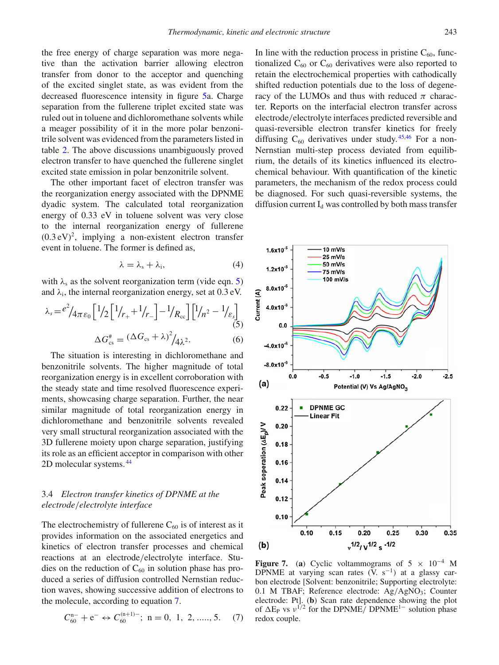the free energy of charge separation was more negative than the activation barrier allowing electron transfer from donor to the acceptor and quenching of the excited singlet state, as was evident from the decreased fluorescence intensity in figure [5a](#page-4-0). Charge separation from the fullerene triplet excited state was ruled out in toluene and dichloromethane solvents while a meager possibility of it in the more polar benzonitrile solvent was evidenced from the parameters listed in table [2.](#page-4-3) The above discussions unambiguously proved electron transfer to have quenched the fullerene singlet excited state emission in polar benzonitrile solvent.

The other important facet of electron transfer was the reorganization energy associated with the DPNME dyadic system. The calculated total reorganization energy of 0.33 eV in toluene solvent was very close to the internal reorganization energy of fullerene  $(0.3 \text{ eV})^2$ , implying a non-existent electron transfer event in toluene. The former is defined as,

$$
\lambda = \lambda_{s} + \lambda_{i}, \qquad (4)
$$

with  $\lambda_s$  as the solvent reorganization term (vide eqn. [5\)](#page-6-0) and  $\lambda_i$ , the internal reorganization energy, set at 0.3 eV.

<span id="page-6-0"></span>
$$
\lambda_s = \frac{e^2}{4\pi\varepsilon_0} \left[ \frac{1}{2} \left[ \frac{1}{r_+} + \frac{1}{r_-} \right] - \frac{1}{R_{\rm cc}} \right] \left[ \frac{1}{n^2} - \frac{1}{\varepsilon_s} \right]
$$
\n
$$
\Delta G_{\rm cs}^{\#} = \frac{(\Delta G_{\rm cs} + \lambda)^2}{4\lambda^2}.
$$
\n(6)

The situation is interesting in dichloromethane and benzonitrile solvents. The higher magnitude of total reorganization energy is in excellent corroboration with the steady state and time resolved fluorescence experiments, showcasing charge separation. Further, the near similar magnitude of total reorganization energy in dichloromethane and benzonitrile solvents revealed very small structural reorganization associated with the 3D fullerene moiety upon charge separation, justifying its role as an efficient acceptor in comparison with other 2D molecular systems. [44](#page-9-17)

# 3.4 *Electron transfer kinetics of DPNME at the electrode*/*electrolyte interface*

The electrochemistry of fullerene  $C_{60}$  is of interest as it provides information on the associated energetics and kinetics of electron transfer processes and chemical reactions at an electrode/electrolyte interface. Studies on the reduction of  $C_{60}$  in solution phase has produced a series of diffusion controlled Nernstian reduction waves, showing successive addition of electrons to the molecule, according to equation [7.](#page-6-1)

<span id="page-6-1"></span>
$$
C_{60}^{n-} + e^- \leftrightarrow C_{60}^{(n+1)-}; \ n = 0, 1, 2, \dots, 5. \tag{7}
$$

In line with the reduction process in pristine  $C_{60}$ , functionalized  $C_{60}$  or  $C_{60}$  derivatives were also reported to retain the electrochemical properties with cathodically shifted reduction potentials due to the loss of degeneracy of the LUMOs and thus with reduced  $\pi$  character. Reports on the interfacial electron transfer across electrode/electrolyte interfaces predicted reversible and quasi-reversible electron transfer kinetics for freely diffusing  $C_{60}$  derivatives under study.<sup>[45](#page-9-18)[,46](#page-9-19)</sup> For a non-Nernstian multi-step process deviated from equilibrium, the details of its kinetics influenced its electrochemical behaviour. With quantification of the kinetic parameters, the mechanism of the redox process could be diagnosed. For such quasi-reversible systems, the diffusion current  $I_d$  was controlled by both mass transfer

<span id="page-6-2"></span>

**Figure 7.** (a) Cyclic voltammograms of  $5 \times 10^{-4}$  M DPNME at varying scan rates  $(V. s^{-1})$  at a glassy carbon electrode [Solvent: benzonitrile; Supporting electrolyte: 0.1 M TBAF; Reference electrode:  $Ag/AgNO<sub>3</sub>$ ; Counter electrode: Pt]. (**b**) Scan rate dependence showing the plot of  $\Delta E_P$  vs  $v^{1/2}$  for the DPNME/ DPNME<sup>1–</sup> solution phase redox couple.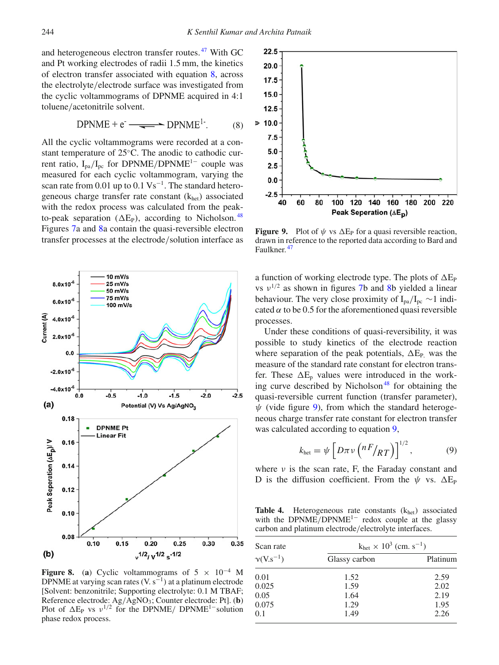and heterogeneous electron transfer routes. [47](#page-9-20) With GC and Pt working electrodes of radii 1.5 mm, the kinetics of electron transfer associated with equation [8,](#page-7-0) across the electrolyte/electrode surface was investigated from the cyclic voltammograms of DPNME acquired in 4:1 toluene/acetonitrile solvent.

<span id="page-7-0"></span>
$$
DPNME + e^- \longrightarrow \text{DPNME}^{1}.
$$
 (8)

All the cyclic voltammograms were recorded at a constant temperature of 25◦C. The anodic to cathodic current ratio,  $I_{pa}/I_{pc}$  for DPNME/DPNME<sup>1−</sup> couple was measured for each cyclic voltammogram, varying the scan rate from 0.01 up to  $0.1 \text{ Vs}^{-1}$ . The standard heterogeneous charge transfer rate constant  $(k<sub>het</sub>)$  associated with the redox process was calculated from the peakto-peak separation ( $\Delta E_{P}$ ), according to Nicholson.<sup>[48](#page-9-21)</sup> Figures [7a](#page-6-2) and [8a](#page-7-1) contain the quasi-reversible electron transfer processes at the electrode/solution interface as

<span id="page-7-1"></span>

**Figure 8.** (a) Cyclic voltammograms of  $5 \times 10^{-4}$  M DPNME at varying scan rates (V.  $s^{-1}$ ) at a platinum electrode [Solvent: benzonitrile; Supporting electrolyte: 0.1 M TBAF; Reference electrode: Ag/AgNO3; Counter electrode: Pt]. (**b**) Plot of  $\Delta E_P$  vs  $v^{1/2}$  for the DPNME/ DPNME<sup>1–</sup>solution phase redox process.

<span id="page-7-2"></span>

**Figure 9.** Plot of  $\psi$  vs  $\Delta E_P$  for a quasi reversible reaction, drawn in reference to the reported data according to Bard and Faulkner. [47](#page-9-20)

a function of working electrode type. The plots of  $\Delta E_{\rm P}$ vs  $v^{1/2}$  as shown in figures [7b](#page-6-2) and [8b](#page-7-1) yielded a linear behaviour. The very close proximity of  $I_{pa}/I_{pc} \sim 1$  indicated  $\alpha$  to be 0.5 for the aforementioned quasi reversible processes.

Under these conditions of quasi-reversibility, it was possible to study kinetics of the electrode reaction where separation of the peak potentials,  $\Delta E_{P}$ , was the measure of the standard rate constant for electron transfer. These  $\Delta E_p$  values were introduced in the working curve described by Nicholson<sup>48</sup> for obtaining the quasi-reversible current function (transfer parameter),  $\psi$  (vide figure [9\)](#page-7-2), from which the standard heterogeneous charge transfer rate constant for electron transfer was calculated according to equation [9,](#page-7-3)

<span id="page-7-3"></span>
$$
k_{\text{het}} = \psi \left[ D \pi \nu \left( \frac{nF}{RT} \right) \right]^{1/2},\tag{9}
$$

where  $\nu$  is the scan rate, F, the Faraday constant and D is the diffusion coefficient. From the  $\psi$  vs.  $\Delta E_P$ 

<span id="page-7-4"></span>Table 4. Heterogeneous rate constants (k<sub>het</sub>) associated with the DPNME/DPNME<sup>1−</sup> redox couple at the glassy carbon and platinum electrode/electrolyte interfaces.

| Scan rate                     | $k_{het} \times 10^3$ (cm. s <sup>-1</sup> ) |          |
|-------------------------------|----------------------------------------------|----------|
| $\gamma$ (V.s <sup>-1</sup> ) | Glassy carbon                                | Platinum |
| 0.01                          | 1.52                                         | 2.59     |
| 0.025                         | 1.59                                         | 2.02     |
| 0.05                          | 1.64                                         | 2.19     |
| 0.075                         | 1.29                                         | 1.95     |
| 0.1                           | 1.49                                         | 2.26     |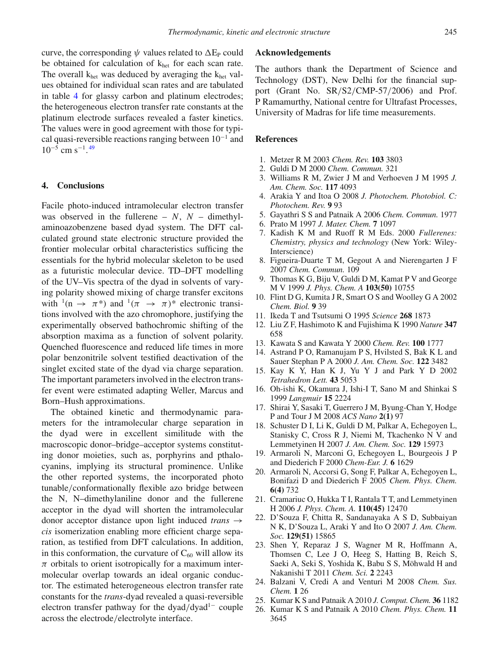curve, the corresponding  $\psi$  values related to  $\Delta E_{P}$  could be obtained for calculation of  $k_{het}$  for each scan rate. The overall  $k_{het}$  was deduced by averaging the  $k_{het}$  values obtained for individual scan rates and are tabulated in table [4](#page-7-4) for glassy carbon and platinum electrodes; the heterogeneous electron transfer rate constants at the platinum electrode surfaces revealed a faster kinetics. The values were in good agreement with those for typical quasi-reversible reactions ranging between  $10^{-1}$  and  $10^{-5}$  cm s<sup>-1</sup>.<sup>[49](#page-9-22)</sup>

#### **4. Conclusions**

Facile photo-induced intramolecular electron transfer was observed in the fullerene – *N*, *N* – dimethylaminoazobenzene based dyad system. The DFT calculated ground state electronic structure provided the frontier molecular orbital characteristics sufficing the essentials for the hybrid molecular skeleton to be used as a futuristic molecular device. TD–DFT modelling of the UV–Vis spectra of the dyad in solvents of varying polarity showed mixing of charge transfer excitons with  $(1(n \rightarrow \pi^*)$  and  $(1(\pi \rightarrow \pi)^*)$  electronic transitions involved with the azo chromophore, justifying the experimentally observed bathochromic shifting of the absorption maxima as a function of solvent polarity. Quenched fluorescence and reduced life times in more polar benzonitrile solvent testified deactivation of the singlet excited state of the dyad via charge separation. The important parameters involved in the electron transfer event were estimated adapting Weller, Marcus and Born–Hush approximations.

The obtained kinetic and thermodynamic parameters for the intramolecular charge separation in the dyad were in excellent similitude with the macroscopic donor–bridge–acceptor systems constituting donor moieties, such as, porphyrins and pthalocyanins, implying its structural prominence. Unlike the other reported systems, the incorporated photo tunable/conformationally flexible azo bridge between the N, N–dimethylaniline donor and the fullerene acceptor in the dyad will shorten the intramolecular donor acceptor distance upon light induced *trans* → *cis* isomerization enabling more efficient charge separation, as testified from DFT calculations. In addition, in this conformation, the curvature of  $C_{60}$  will allow its  $\pi$  orbitals to orient isotropically for a maximum intermolecular overlap towards an ideal organic conductor. The estimated heterogeneous electron transfer rate constants for the *trans*-dyad revealed a quasi-reversible electron transfer pathway for the dyad/dyad<sup>1−</sup> couple across the electrode/electrolyte interface.

## **Acknowledgements**

The authors thank the Department of Science and Technology (DST), New Delhi for the financial support (Grant No. SR/S2/CMP-57/2006) and Prof. P Ramamurthy, National centre for Ultrafast Processes, University of Madras for life time measurements.

## **References**

- <span id="page-8-0"></span>1. Metzer R M 2003 *Chem. Rev.* **103** 3803
- <span id="page-8-1"></span>2. Guldi D M 2000 *Chem. Commun.* 321
- <span id="page-8-2"></span>3. Williams R M, Zwier J M and Verhoeven J M 1995 *J. Am. Chem. Soc.* **117** 4093
- <span id="page-8-3"></span>4. Arakia Y and Itoa O 2008 *J. Photochem. Photobiol. C: Photochem. Rev.* **9** 93
- <span id="page-8-4"></span>5. Gayathri S S and Patnaik A 2006 *Chem. Commun.* 1977
- <span id="page-8-5"></span>6. Prato M 1997 *J. Mater. Chem.* **7** 1097
- 7. Kadish K M and Ruoff R M Eds. 2000 *Fullerenes: Chemistry, physics and technology* (New York: Wiley-Interscience)
- 8. Figueira-Duarte T M, Gegout A and Nierengarten J F 2007 *Chem. Commun.* 109
- <span id="page-8-6"></span>9. Thomas K G, Biju V, Guldi D M, Kamat P V and George M V 1999 *J. Phys. Chem. A* **103(50)** 10755
- <span id="page-8-7"></span>10. Flint D G, Kumita J R, Smart O S and Woolley G A 2002 *Chem. Biol.* **9** 39
- 11. Ikeda T and Tsutsumi O 1995 *Science* **268** 1873
- 12. Liu Z F, Hashimoto K and Fujishima K 1990 *Nature* **347** 658
- 13. Kawata S and Kawata Y 2000 *Chem. Rev.* **100** 1777
- <span id="page-8-8"></span>14. Astrand P O, Ramanujam P S, Hvilsted S, Bak K L and Sauer Stephan P A 2000 *J. Am. Chem. Soc.* **122** 3482
- <span id="page-8-9"></span>15. Kay K Y, Han K J, Yu Y J and Park Y D 2002 *Tetrahedron Lett.* **43** 5053
- 16. Oh-ishi K, Okamura J, Ishi-I T, Sano M and Shinkai S 1999 *Langmuir* **15** 2224
- <span id="page-8-10"></span>17. Shirai Y, Sasaki T, Guerrero J M, Byung-Chan Y, Hodge P and Tour J M 2008 *ACS Nano* **2(1)** 97
- <span id="page-8-11"></span>18. Schuster D I, Li K, Guldi D M, Palkar A, Echegoyen L, Stanisky C, Cross R J, Niemi M, Tkachenko N V and Lemmetyinen H 2007 *J. Am. Chem. Soc.* **129** 15973
- <span id="page-8-12"></span>19. Armaroli N, Marconi G, Echegoyen L, Bourgeois J P and Diederich F 2000 *Chem-Eur. J.* **6** 1629
- 20. Armaroli N, Accorsi G, Song F, Palkar A, Echegoyen L, Bonifazi D and Diederich F 2005 *Chem. Phys. Chem.* **6(4)** 732
- <span id="page-8-13"></span>21. Cramariuc O, Hukka T I, Rantala T T, and Lemmetyinen H 2006 *J. Phys. Chem. A.* **110(45)** 12470
- <span id="page-8-14"></span>22. D'Souza F, Chitta R, Sandanayaka A S D, Subbaiyan N K, D'Souza L, Araki Y and Ito O 2007 *J. Am. Chem. Soc.* **129(51)** 15865
- <span id="page-8-15"></span>23. Shen Y, Reparaz J S, Wagner M R, Hoffmann A, Thomsen C, Lee J O, Heeg S, Hatting B, Reich S, Saeki A, Seki S, Yoshida K, Babu S S, Möhwald H and Nakanishi T 2011 *Chem. Sci.* **2** 2243
- <span id="page-8-16"></span>24. Balzani V, Credi A and Venturi M 2008 *Chem. Sus. Chem.* **1** 26
- <span id="page-8-17"></span>25. Kumar K S and Patnaik A 2010 *J. Comput. Chem.* **36** 1182
- <span id="page-8-18"></span>26. Kumar K S and Patnaik A 2010 *Chem. Phys. Chem.* **11** 3645